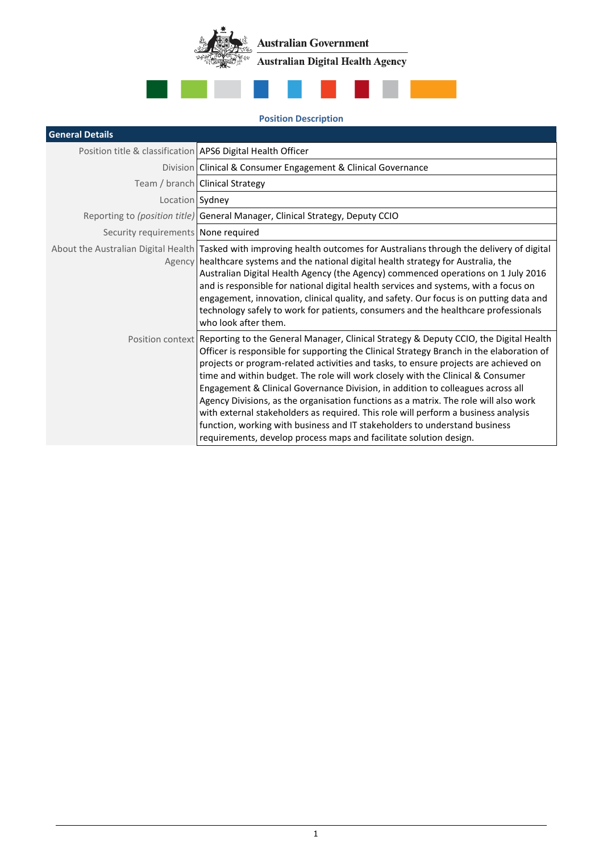**Australian Government** .<br>≫‱ **Australian Digital Health Agency**  $\langle \cdot \rangle$ 



## **Position Description**

| <b>General Details</b>                                      |                                                                                                                                                                                                                                                                                                                                                                                                                                                                                                                                                                                                                                                                                                                                                                                                    |
|-------------------------------------------------------------|----------------------------------------------------------------------------------------------------------------------------------------------------------------------------------------------------------------------------------------------------------------------------------------------------------------------------------------------------------------------------------------------------------------------------------------------------------------------------------------------------------------------------------------------------------------------------------------------------------------------------------------------------------------------------------------------------------------------------------------------------------------------------------------------------|
| Position title & classification APS6 Digital Health Officer |                                                                                                                                                                                                                                                                                                                                                                                                                                                                                                                                                                                                                                                                                                                                                                                                    |
|                                                             | Division Clinical & Consumer Engagement & Clinical Governance                                                                                                                                                                                                                                                                                                                                                                                                                                                                                                                                                                                                                                                                                                                                      |
|                                                             | Team / branch Clinical Strategy                                                                                                                                                                                                                                                                                                                                                                                                                                                                                                                                                                                                                                                                                                                                                                    |
| Location Sydney                                             |                                                                                                                                                                                                                                                                                                                                                                                                                                                                                                                                                                                                                                                                                                                                                                                                    |
|                                                             | Reporting to (position title) General Manager, Clinical Strategy, Deputy CCIO                                                                                                                                                                                                                                                                                                                                                                                                                                                                                                                                                                                                                                                                                                                      |
| Security requirements None required                         |                                                                                                                                                                                                                                                                                                                                                                                                                                                                                                                                                                                                                                                                                                                                                                                                    |
|                                                             | About the Australian Digital Health Tasked with improving health outcomes for Australians through the delivery of digital<br>Agency healthcare systems and the national digital health strategy for Australia, the<br>Australian Digital Health Agency (the Agency) commenced operations on 1 July 2016<br>and is responsible for national digital health services and systems, with a focus on<br>engagement, innovation, clinical quality, and safety. Our focus is on putting data and<br>technology safely to work for patients, consumers and the healthcare professionals<br>who look after them.                                                                                                                                                                                            |
|                                                             | Position context Reporting to the General Manager, Clinical Strategy & Deputy CCIO, the Digital Health<br>Officer is responsible for supporting the Clinical Strategy Branch in the elaboration of<br>projects or program-related activities and tasks, to ensure projects are achieved on<br>time and within budget. The role will work closely with the Clinical & Consumer<br>Engagement & Clinical Governance Division, in addition to colleagues across all<br>Agency Divisions, as the organisation functions as a matrix. The role will also work<br>with external stakeholders as required. This role will perform a business analysis<br>function, working with business and IT stakeholders to understand business<br>requirements, develop process maps and facilitate solution design. |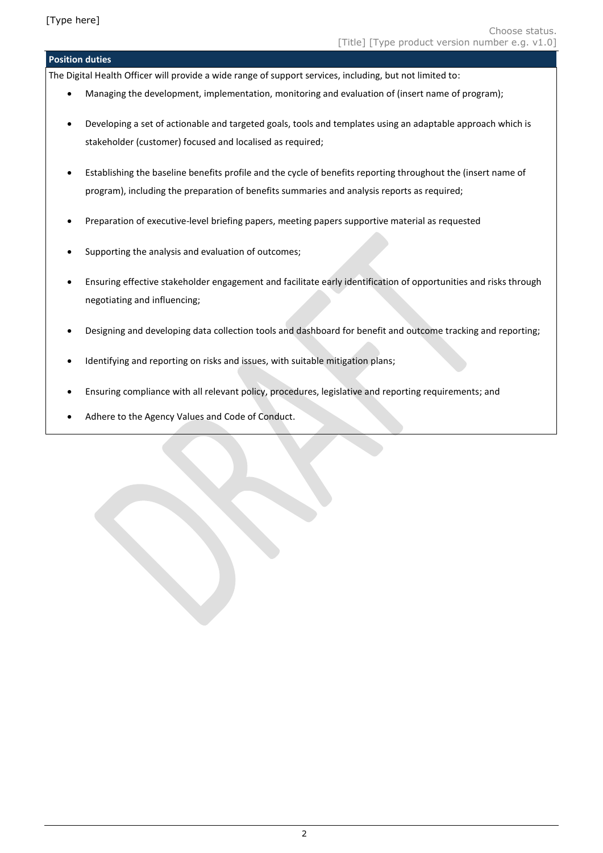## **Position duties**

The Digital Health Officer will provide a wide range of support services, including, but not limited to:

- Managing the development, implementation, monitoring and evaluation of (insert name of program);
- Developing a set of actionable and targeted goals, tools and templates using an adaptable approach which is stakeholder (customer) focused and localised as required;
- Establishing the baseline benefits profile and the cycle of benefits reporting throughout the (insert name of program), including the preparation of benefits summaries and analysis reports as required;
- Preparation of executive-level briefing papers, meeting papers supportive material as requested
- Supporting the analysis and evaluation of outcomes;
- Ensuring effective stakeholder engagement and facilitate early identification of opportunities and risks through negotiating and influencing;
- Designing and developing data collection tools and dashboard for benefit and outcome tracking and reporting;
- Identifying and reporting on risks and issues, with suitable mitigation plans;
- Ensuring compliance with all relevant policy, procedures, legislative and reporting requirements; and
- Adhere to the Agency Values and Code of Conduct.